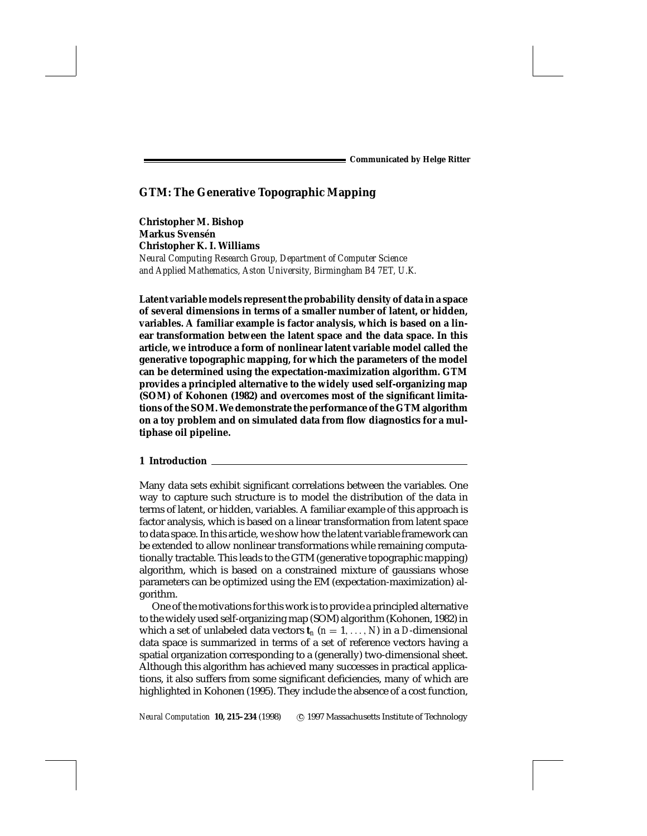**Communicated by Helge Ritter**

# **GTM: The Generative Topographic Mapping**

**Christopher M. Bishop Markus Svensén Christopher K. I. Williams** *Neural Computing Research Group, Department of Computer Science and Applied Mathematics, Aston University, Birmingham B4 7ET, U.K.*

**Latent variable models represent the probability density of data in a space of several dimensions in terms of a smaller number of latent, or hidden, variables. A familiar example is factor analysis, which is based on a linear transformation between the latent space and the data space. In this article, we introduce a form of nonlinear latent variable model called the generative topographic mapping, for which the parameters of the model can be determined using the expectation-maximization algorithm. GTM provides a principled alternative to the widely used self-organizing map (SOM) of Kohonen (1982) and overcomes most of the significant limitations of the SOM. We demonstrate the performance of the GTM algorithm on a toy problem and on simulated data from flow diagnostics for a multiphase oil pipeline.**

## **1 Introduction**

Many data sets exhibit significant correlations between the variables. One way to capture such structure is to model the distribution of the data in terms of latent, or hidden, variables. A familiar example of this approach is factor analysis, which is based on a linear transformation from latent space to data space. In this article, we show how the latent variable framework can be extended to allow nonlinear transformations while remaining computationally tractable. This leads to the GTM (generative topographic mapping) algorithm, which is based on a constrained mixture of gaussians whose parameters can be optimized using the EM (expectation-maximization) algorithm.

One of the motivations for this work is to provide a principled alternative to the widely used self-organizing map (SOM) algorithm (Kohonen, 1982) in which a set of unlabeled data vectors  $\mathbf{t}_n$  ( $n = 1, \ldots, N$ ) in a *D*-dimensional data space is summarized in terms of a set of reference vectors having a spatial organization corresponding to a (generally) two-dimensional sheet. Although this algorithm has achieved many successes in practical applications, it also suffers from some significant deficiencies, many of which are highlighted in Kohonen (1995). They include the absence of a cost function,

*Neural Computation* **10, 215–234** (1998) © 1997 Massachusetts Institute of Technology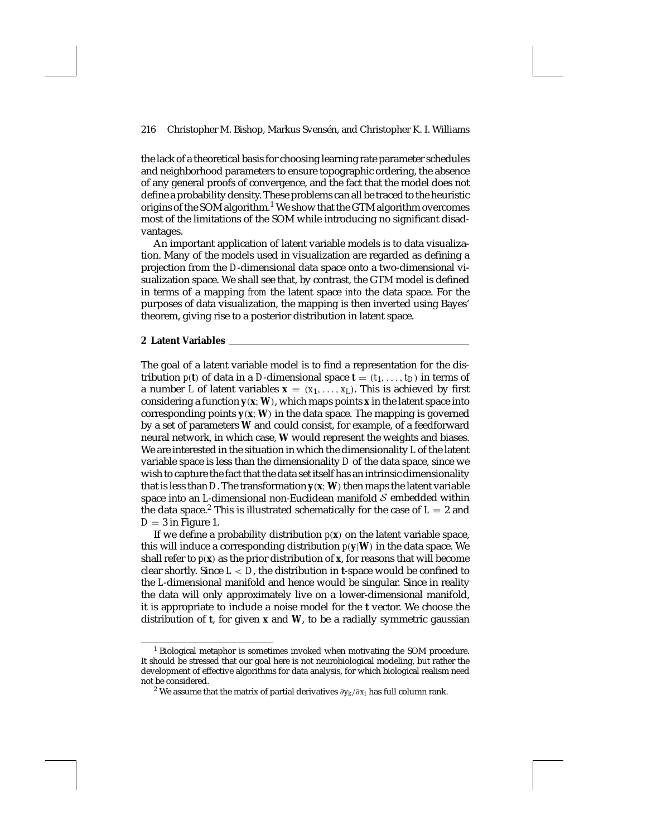the lack of a theoretical basis for choosing learning rate parameter schedules and neighborhood parameters to ensure topographic ordering, the absence of any general proofs of convergence, and the fact that the model does not define a probability density. These problems can all be traced to the heuristic origins of the SOM algorithm.<sup>1</sup> We show that the GTM algorithm overcomes most of the limitations of the SOM while introducing no significant disadvantages.

An important application of latent variable models is to data visualization. Many of the models used in visualization are regarded as defining a projection from the *D*-dimensional data space onto a two-dimensional visualization space. We shall see that, by contrast, the GTM model is defined in terms of a mapping *from* the latent space *into* the data space. For the purposes of data visualization, the mapping is then inverted using Bayes' theorem, giving rise to a posterior distribution in latent space.

## **2 Latent Variables**

The goal of a latent variable model is to find a representation for the distribution  $p(t)$  of data in a *D*-dimensional space  $t = (t_1, \ldots, t_D)$  in terms of a number *L* of latent variables  $\mathbf{x} = (x_1, \ldots, x_L)$ . This is achieved by first considering a function  $\mathbf{y}(\mathbf{x}; \mathbf{W})$ , which maps points **x** in the latent space into corresponding points **y***(***x**; **W***)* in the data space. The mapping is governed by a set of parameters **W** and could consist, for example, of a feedforward neural network, in which case, **W** would represent the weights and biases. We are interested in the situation in which the dimensionality *L* of the latent variable space is less than the dimensionality *D* of the data space, since we wish to capture the fact that the data set itself has an intrinsic dimensionality that is less than *D*. The transformation **y***(***x**; **W***)* then maps the latent variable space into an *L*-dimensional non-Euclidean manifold *S* embedded within the data space.<sup>2</sup> This is illustrated schematically for the case of  $L = 2$  and  $D = 3$  in Figure 1.

If we define a probability distribution  $p(x)$  on the latent variable space, this will induce a corresponding distribution *p(***y**|**W***)* in the data space. We shall refer to  $p(x)$  as the prior distribution of x, for reasons that will become clear shortly. Since  $L < D$ , the distribution in **t**-space would be confined to the *L*-dimensional manifold and hence would be singular. Since in reality the data will only approximately live on a lower-dimensional manifold, it is appropriate to include a noise model for the **t** vector. We choose the distribution of **t**, for given **x** and **W**, to be a radially symmetric gaussian

<sup>&</sup>lt;sup>1</sup> Biological metaphor is sometimes invoked when motivating the SOM procedure. It should be stressed that our goal here is not neurobiological modeling, but rather the development of effective algorithms for data analysis, for which biological realism need not be considered.

<sup>2</sup> We assume that the matrix of partial derivatives *∂yk/∂xi* has full column rank.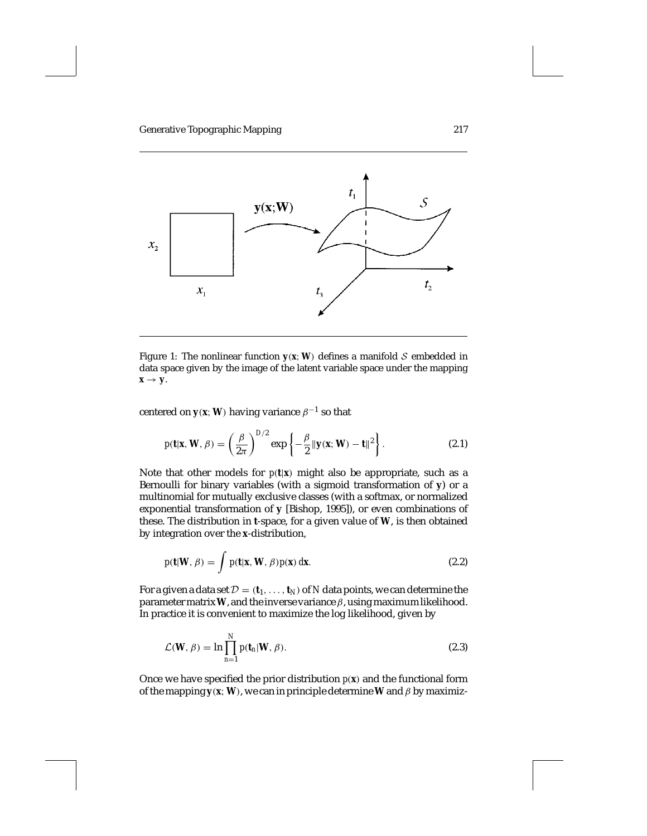

Figure 1: The nonlinear function  $y(x; W)$  defines a manifold S embedded in data space given by the image of the latent variable space under the mapping  $x \rightarrow y$ .

centered on  $\mathbf{y}(\mathbf{x}; \mathbf{W})$  having variance  $\beta^{-1}$  so that

$$
p(\mathbf{t}|\mathbf{x}, \mathbf{W}, \beta) = \left(\frac{\beta}{2\pi}\right)^{D/2} \exp\left\{-\frac{\beta}{2} ||\mathbf{y}(\mathbf{x}; \mathbf{W}) - \mathbf{t}||^2\right\}.
$$
 (2.1)

Note that other models for  $p(t|x)$  might also be appropriate, such as a Bernoulli for binary variables (with a sigmoid transformation of **y**) or a multinomial for mutually exclusive classes (with a softmax, or normalized exponential transformation of **y** [Bishop, 1995]), or even combinations of these. The distribution in **t**-space, for a given value of **W**, is then obtained by integration over the **x**-distribution,

$$
p(\mathbf{t}|\mathbf{W}, \beta) = \int p(\mathbf{t}|\mathbf{x}, \mathbf{W}, \beta) p(\mathbf{x}) \, d\mathbf{x}.
$$
 (2.2)

For a given a data set  $\mathcal{D} = (\mathbf{t}_1, \dots, \mathbf{t}_N)$  of *N* data points, we can determine the parameter matrix**W**, and the inverse variance *β*, using maximum likelihood. In practice it is convenient to maximize the log likelihood, given by

$$
\mathcal{L}(\mathbf{W}, \beta) = \ln \prod_{n=1}^{N} p(\mathbf{t}_n | \mathbf{W}, \beta).
$$
 (2.3)

Once we have specified the prior distribution  $p(x)$  and the functional form of the mapping  $\mathbf{y}(\mathbf{x}; \mathbf{W})$ , we can in principle determine **W** and  $\beta$  by maximiz-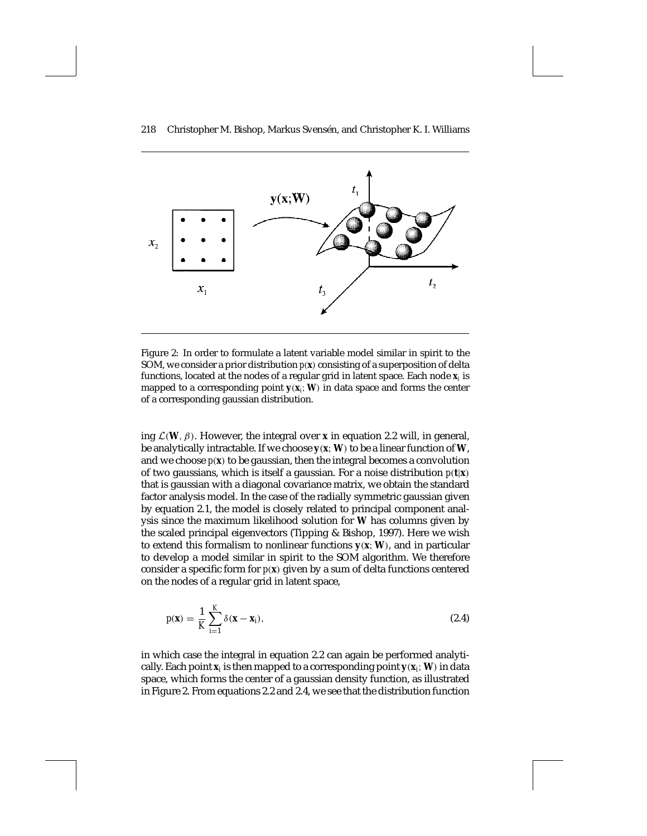

Figure 2: In order to formulate a latent variable model similar in spirit to the SOM, we consider a prior distribution *p(***x***)* consisting of a superposition of delta functions, located at the nodes of a regular grid in latent space. Each node **x***<sup>i</sup>* is mapped to a corresponding point **y***(***x***i*; **W***)* in data space and forms the center of a corresponding gaussian distribution.

ing  $\mathcal{L}(\mathbf{W}, \beta)$ . However, the integral over **x** in equation 2.2 will, in general, be analytically intractable. If we choose **y***(***x**; **W***)* to be a linear function of **W**, and we choose  $p(x)$  to be gaussian, then the integral becomes a convolution of two gaussians, which is itself a gaussian. For a noise distribution *p(***t**|**x***)* that is gaussian with a diagonal covariance matrix, we obtain the standard factor analysis model. In the case of the radially symmetric gaussian given by equation 2.1, the model is closely related to principal component analysis since the maximum likelihood solution for **W** has columns given by the scaled principal eigenvectors (Tipping & Bishop, 1997). Here we wish to extend this formalism to nonlinear functions **y***(***x**; **W***)*, and in particular to develop a model similar in spirit to the SOM algorithm. We therefore consider a specific form for  $p(x)$  given by a sum of delta functions centered on the nodes of a regular grid in latent space,

$$
p(\mathbf{x}) = \frac{1}{K} \sum_{i=1}^{K} \delta(\mathbf{x} - \mathbf{x}_i),
$$
\n(2.4)

in which case the integral in equation 2.2 can again be performed analytically. Each point **x***<sup>i</sup>* is then mapped to a corresponding point **y***(***x***i*; **W***)* in data space, which forms the center of a gaussian density function, as illustrated in Figure 2. From equations 2.2 and 2.4, we see that the distribution function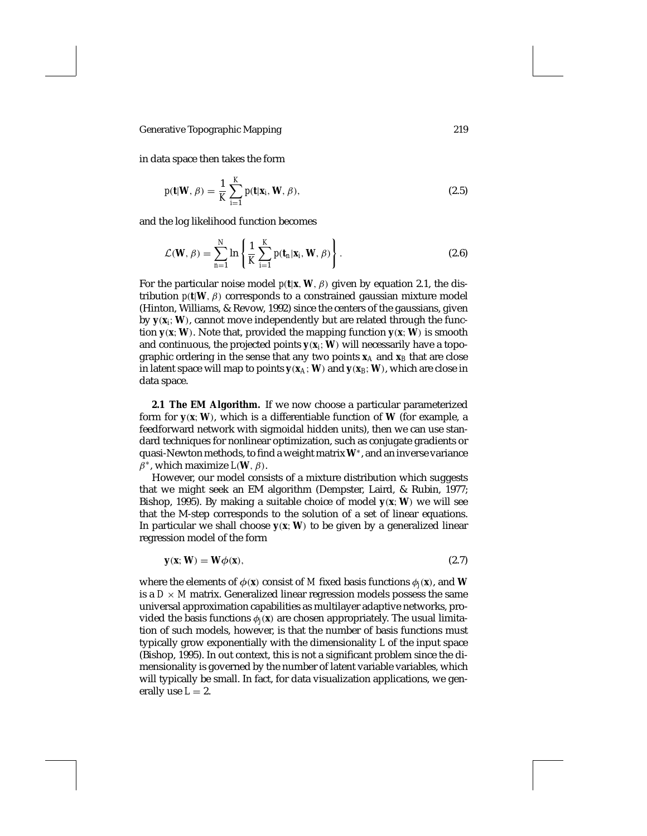in data space then takes the form

$$
p(\mathbf{t}|\mathbf{W}, \beta) = \frac{1}{K} \sum_{i=1}^{K} p(\mathbf{t}|\mathbf{x}_i, \mathbf{W}, \beta),
$$
\n(2.5)

and the log likelihood function becomes

$$
\mathcal{L}(\mathbf{W}, \beta) = \sum_{n=1}^{N} \ln \left\{ \frac{1}{K} \sum_{i=1}^{K} p(\mathbf{t}_{n} | \mathbf{x}_{i}, \mathbf{W}, \beta) \right\}.
$$
 (2.6)

For the particular noise model  $p(t|\mathbf{x}, \mathbf{W}, \beta)$  given by equation 2.1, the distribution  $p(t|W, \beta)$  corresponds to a constrained gaussian mixture model (Hinton, Williams, & Revow, 1992) since the centers of the gaussians, given by  $y(x_i; W)$ , cannot move independently but are related through the function **y***(***x**; **W***)*. Note that, provided the mapping function **y***(***x**; **W***)* is smooth and continuous, the projected points  $y(x_i; W)$  will necessarily have a topographic ordering in the sense that any two points **x***<sup>A</sup>* and **x***<sup>B</sup>* that are close in latent space will map to points  $y(x_A; W)$  and  $y(x_B; W)$ , which are close in data space.

**2.1 The EM Algorithm.** If we now choose a particular parameterized form for **y***(***x**; **W***)*, which is a differentiable function of **W** (for example, a feedforward network with sigmoidal hidden units), then we can use standard techniques for nonlinear optimization, such as conjugate gradients or quasi-Newton methods, to find a weight matrix **W**∗, and an inverse variance *β*∗, which maximize *L(***W***,β)*.

However, our model consists of a mixture distribution which suggests that we might seek an EM algorithm (Dempster, Laird, & Rubin, 1977; Bishop, 1995). By making a suitable choice of model **y***(***x**; **W***)* we will see that the M-step corresponds to the solution of a set of linear equations. In particular we shall choose **y***(***x**; **W***)* to be given by a generalized linear regression model of the form

$$
y(x; W) = W\phi(x), \qquad (2.7)
$$

where the elements of  $\phi(\mathbf{x})$  consist of *M* fixed basis functions  $\phi_i(\mathbf{x})$ , and **W** is a  $D \times M$  matrix. Generalized linear regression models possess the same universal approximation capabilities as multilayer adaptive networks, provided the basis functions  $\phi_i(\mathbf{x})$  are chosen appropriately. The usual limitation of such models, however, is that the number of basis functions must typically grow exponentially with the dimensionality *L* of the input space (Bishop, 1995). In out context, this is not a significant problem since the dimensionality is governed by the number of latent variable variables, which will typically be small. In fact, for data visualization applications, we generally use  $L = 2$ .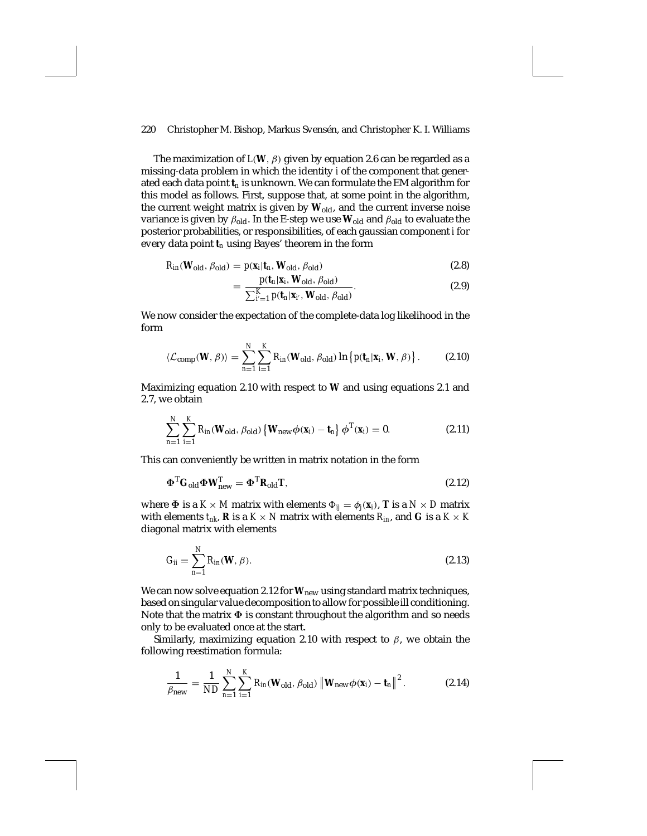The maximization of  $L(W, \beta)$  given by equation 2.6 can be regarded as a missing-data problem in which the identity *i* of the component that generated each data point **t***<sup>n</sup>* is unknown. We can formulate the EM algorithm for this model as follows. First, suppose that, at some point in the algorithm, the current weight matrix is given by W<sub>old</sub>, and the current inverse noise variance is given by *β*old. In the E-step we use **W**old and *β*old to evaluate the posterior probabilities, or responsibilities, of each gaussian component *i* for every data point **t***<sup>n</sup>* using Bayes' theorem in the form

$$
R_{in}(\mathbf{W}_{old}, \beta_{old}) = p(\mathbf{x}_i | \mathbf{t}_n, \mathbf{W}_{old}, \beta_{old})
$$
\n(2.8)

$$
= \frac{p(\mathbf{t}_n|\mathbf{x}_i, \mathbf{W}_{old}, \rho_{old})}{\sum_{i=1}^K p(\mathbf{t}_n|\mathbf{x}_i, \mathbf{W}_{old}, \beta_{old})}.
$$
 (2.9)

We now consider the expectation of the complete-data log likelihood in the form

$$
\langle \mathcal{L}_{comp}(\mathbf{W}, \beta) \rangle = \sum_{n=1}^{N} \sum_{i=1}^{K} R_{in}(\mathbf{W}_{old}, \beta_{old}) \ln \left\{ p(\mathbf{t}_{n} | \mathbf{x}_{i}, \mathbf{W}, \beta) \right\}.
$$
 (2.10)

Maximizing equation 2.10 with respect to **W** and using equations 2.1 and 2.7, we obtain

$$
\sum_{n=1}^{N} \sum_{i=1}^{K} R_{in}(\mathbf{W}_{old}, \beta_{old}) \left\{ \mathbf{W}_{new} \boldsymbol{\phi}(\mathbf{x}_i) - \mathbf{t}_n \right\} \boldsymbol{\phi}^{\mathrm{T}}(\mathbf{x}_i) = 0.
$$
 (2.11)

This can conveniently be written in matrix notation in the form

$$
\Phi^{\mathrm{T}}\mathbf{G}_{\mathrm{old}}\Phi\mathbf{W}_{\mathrm{new}}^{\mathrm{T}} = \Phi^{\mathrm{T}}\mathbf{R}_{\mathrm{old}}\mathbf{T},\tag{2.12}
$$

where  $\Phi$  is a  $K \times M$  matrix with elements  $\Phi_{ij} = \phi_j(\mathbf{x}_i)$ , **T** is a  $N \times D$  matrix with elements  $t_{nk}$ , **R** is a  $K \times N$  matrix with elements  $R_{in}$ , and **G** is a  $K \times K$ diagonal matrix with elements

$$
G_{ii} = \sum_{n=1}^{N} R_{in}(\mathbf{W}, \beta).
$$
 (2.13)

We can now solve equation 2.12 for  $W<sub>new</sub>$  using standard matrix techniques, based on singular value decomposition to allow for possible ill conditioning. Note that the matrix **Φ** is constant throughout the algorithm and so needs only to be evaluated once at the start.

Similarly, maximizing equation 2.10 with respect to *β*, we obtain the following reestimation formula:

$$
\frac{1}{\beta_{\text{new}}} = \frac{1}{ND} \sum_{n=1}^{N} \sum_{i=1}^{K} R_{in}(\mathbf{W}_{old}, \beta_{old}) \left\| \mathbf{W}_{\text{new}} \phi(\mathbf{x}_i) - \mathbf{t}_n \right\|^2.
$$
 (2.14)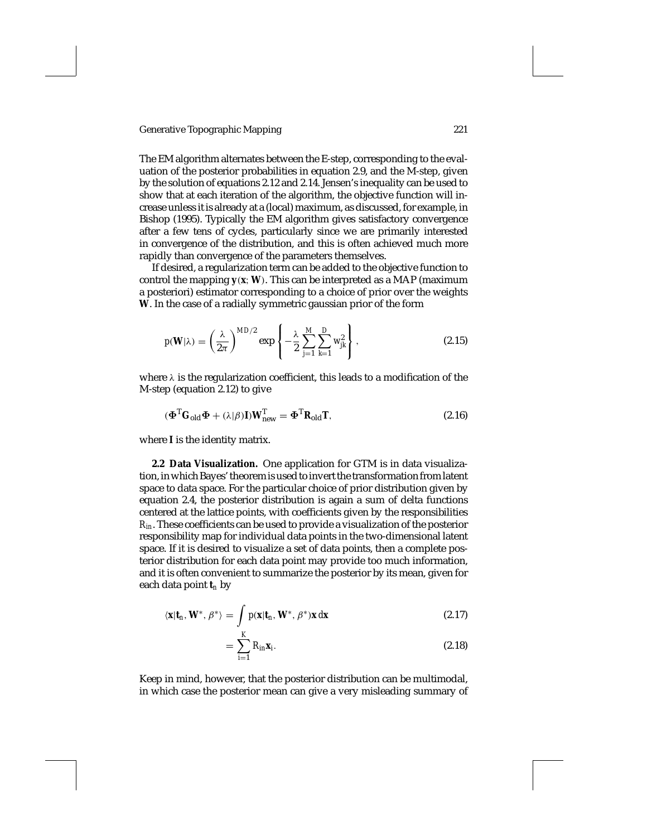The EM algorithm alternates between the E-step, corresponding to the evaluation of the posterior probabilities in equation 2.9, and the M-step, given by the solution of equations 2.12 and 2.14. Jensen's inequality can be used to show that at each iteration of the algorithm, the objective function will increase unless it is already at a (local) maximum, as discussed, for example, in Bishop (1995). Typically the EM algorithm gives satisfactory convergence after a few tens of cycles, particularly since we are primarily interested in convergence of the distribution, and this is often achieved much more rapidly than convergence of the parameters themselves.

If desired, a regularization term can be added to the objective function to control the mapping **y***(***x**; **W***)*. This can be interpreted as a MAP (maximum a posteriori) estimator corresponding to a choice of prior over the weights **W**. In the case of a radially symmetric gaussian prior of the form

$$
p(\mathbf{W}|\lambda) = \left(\frac{\lambda}{2\pi}\right)^{MD/2} \exp\left\{-\frac{\lambda}{2} \sum_{j=1}^{M} \sum_{k=1}^{D} w_{jk}^2\right\},
$$
 (2.15)

where *λ* is the regularization coefficient, this leads to a modification of the M-step (equation 2.12) to give

$$
(\boldsymbol{\Phi}^{\mathrm{T}}\mathbf{G}_{\mathrm{old}}\boldsymbol{\Phi} + (\lambda|\beta)\mathbf{I})\mathbf{W}_{\mathrm{new}}^{\mathrm{T}} = \boldsymbol{\Phi}^{\mathrm{T}}\mathbf{R}_{\mathrm{old}}\mathbf{T},\tag{2.16}
$$

where **I** is the identity matrix.

**2.2 Data Visualization.** One application for GTM is in data visualization, in which Bayes' theorem is used to invert the transformation from latent space to data space. For the particular choice of prior distribution given by equation 2.4, the posterior distribution is again a sum of delta functions centered at the lattice points, with coefficients given by the responsibilities *Rin*. These coefficients can be used to provide a visualization of the posterior responsibility map for individual data points in the two-dimensional latent space. If it is desired to visualize a set of data points, then a complete posterior distribution for each data point may provide too much information, and it is often convenient to summarize the posterior by its mean, given for each data point **t***<sup>n</sup>* by

$$
\langle \mathbf{x}|\mathbf{t}_n, \mathbf{W}^*, \beta^* \rangle = \int p(\mathbf{x}|\mathbf{t}_n, \mathbf{W}^*, \beta^*) \mathbf{x} \, d\mathbf{x} \tag{2.17}
$$

$$
=\sum_{i=1}^{K}R_{in}\mathbf{x}_{i}.
$$
\n(2.18)

Keep in mind, however, that the posterior distribution can be multimodal, in which case the posterior mean can give a very misleading summary of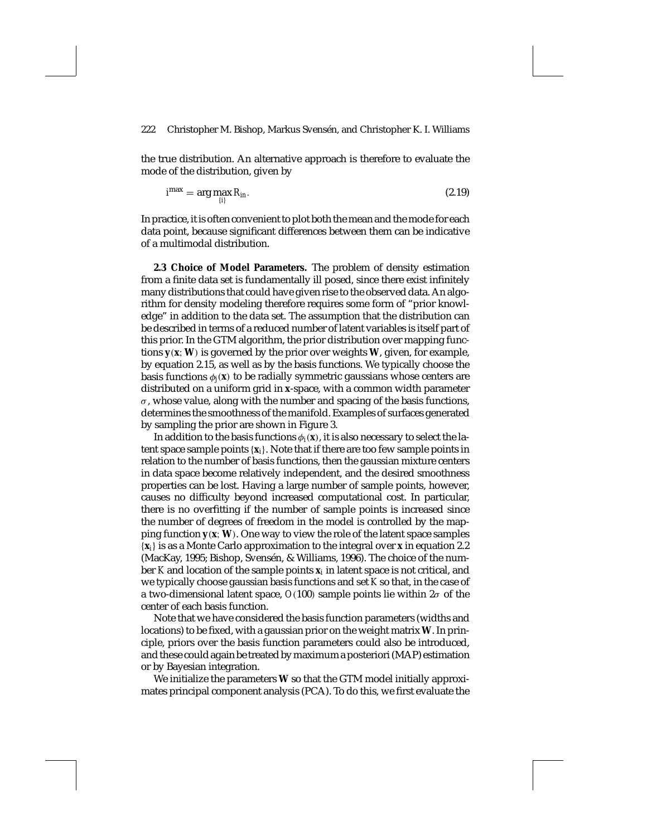the true distribution. An alternative approach is therefore to evaluate the mode of the distribution, given by

$$
i^{\max} = \arg \max_{\{i\}} R_{in}.\tag{2.19}
$$

In practice, it is often convenient to plot both the mean and the mode for each data point, because significant differences between them can be indicative of a multimodal distribution.

**2.3 Choice of Model Parameters.** The problem of density estimation from a finite data set is fundamentally ill posed, since there exist infinitely many distributions that could have given rise to the observed data. An algorithm for density modeling therefore requires some form of "prior knowledge" in addition to the data set. The assumption that the distribution can be described in terms of a reduced number of latent variables is itself part of this prior. In the GTM algorithm, the prior distribution over mapping functions **y***(***x**; **W***)* is governed by the prior over weights **W**, given, for example, by equation 2.15, as well as by the basis functions. We typically choose the basis functions  $\phi_j(\mathbf{x})$  to be radially symmetric gaussians whose centers are distributed on a uniform grid in **x**-space, with a common width parameter *σ*, whose value, along with the number and spacing of the basis functions, determines the smoothness of the manifold. Examples of surfaces generated by sampling the prior are shown in Figure 3.

In addition to the basis functions  $\phi_i(\mathbf{x})$ , it is also necessary to select the latent space sample points {**x***i*}. Note that if there are too few sample points in relation to the number of basis functions, then the gaussian mixture centers in data space become relatively independent, and the desired smoothness properties can be lost. Having a large number of sample points, however, causes no difficulty beyond increased computational cost. In particular, there is no overfitting if the number of sample points is increased since the number of degrees of freedom in the model is controlled by the mapping function **y***(***x**; **W***)*. One way to view the role of the latent space samples {**x***i*} is as a Monte Carlo approximation to the integral over **x** in equation 2.2 (MacKay, 1995; Bishop, Svensén, & Williams, 1996). The choice of the number *K* and location of the sample points  $\mathbf{x}_i$  in latent space is not critical, and we typically choose gaussian basis functions and set *K* so that, in the case of a two-dimensional latent space, *O(*100*)* sample points lie within 2*σ* of the center of each basis function.

Note that we have considered the basis function parameters (widths and locations) to be fixed, with a gaussian prior on the weight matrix **W**. In principle, priors over the basis function parameters could also be introduced, and these could again be treated by maximum a posteriori (MAP) estimation or by Bayesian integration.

We initialize the parameters **W** so that the GTM model initially approximates principal component analysis (PCA). To do this, we first evaluate the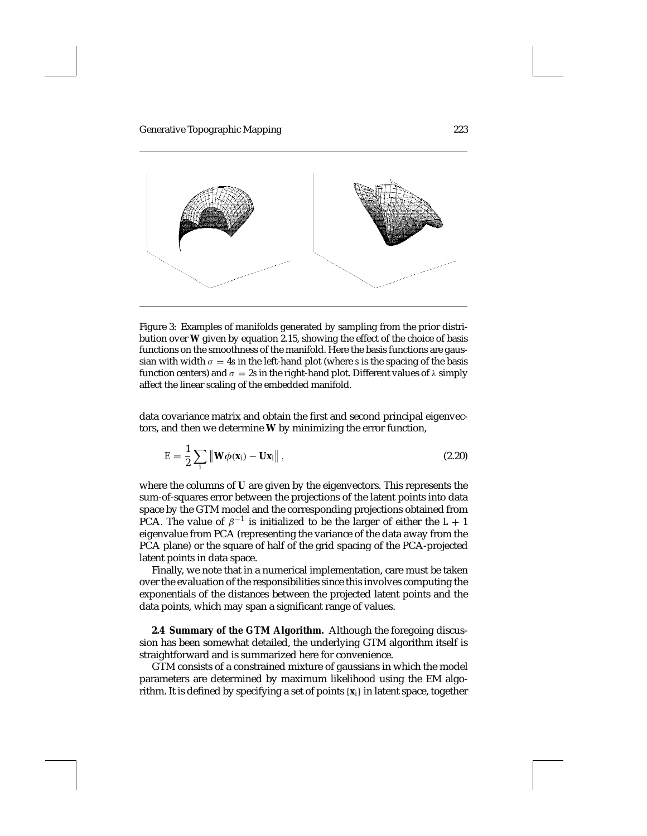

Figure 3: Examples of manifolds generated by sampling from the prior distribution over **W** given by equation 2.15, showing the effect of the choice of basis functions on the smoothness of the manifold. Here the basis functions are gaussian with width  $\sigma = 4s$  in the left-hand plot (where *s* is the spacing of the basis function centers) and  $\sigma = 2s$  in the right-hand plot. Different values of  $\lambda$  simply affect the linear scaling of the embedded manifold.

data covariance matrix and obtain the first and second principal eigenvectors, and then we determine **W** by minimizing the error function,

$$
E = \frac{1}{2} \sum_{i} \left\| \mathbf{W} \phi(\mathbf{x}_i) - \mathbf{U} \mathbf{x}_i \right\|,
$$
\n(2.20)

where the columns of **U** are given by the eigenvectors. This represents the sum-of-squares error between the projections of the latent points into data space by the GTM model and the corresponding projections obtained from PCA. The value of  $\beta^{-1}$  is initialized to be the larger of either the  $L + 1$ eigenvalue from PCA (representing the variance of the data away from the PCA plane) or the square of half of the grid spacing of the PCA-projected latent points in data space.

Finally, we note that in a numerical implementation, care must be taken over the evaluation of the responsibilities since this involves computing the exponentials of the distances between the projected latent points and the data points, which may span a significant range of values.

**2.4 Summary of the GTM Algorithm.** Although the foregoing discussion has been somewhat detailed, the underlying GTM algorithm itself is straightforward and is summarized here for convenience.

GTM consists of a constrained mixture of gaussians in which the model parameters are determined by maximum likelihood using the EM algorithm. It is defined by specifying a set of points {**x***i*} in latent space, together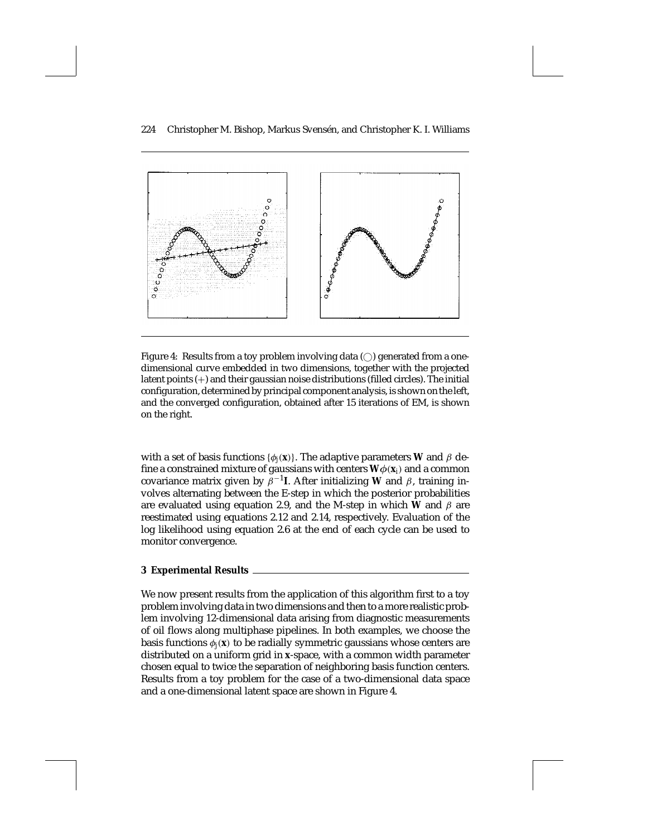

Figure 4: Results from a toy problem involving data ( $\cap$ ) generated from a onedimensional curve embedded in two dimensions, together with the projected latent points (+) and their gaussian noise distributions (filled circles). The initial configuration, determined by principal component analysis, is shown on the left, and the converged configuration, obtained after 15 iterations of EM, is shown on the right.

with a set of basis functions { $\phi_j(\mathbf{x})$ }. The adaptive parameters **W** and  $\beta$  define a constrained mixture of gaussians with centers  $\mathbf{W}\phi(\mathbf{x}_i)$  and a common covariance matrix given by  $β^{-1}$ **I**. After initializing **W** and  $β$ , training involves alternating between the E-step in which the posterior probabilities are evaluated using equation 2.9, and the M-step in which **W** and *β* are reestimated using equations 2.12 and 2.14, respectively. Evaluation of the log likelihood using equation 2.6 at the end of each cycle can be used to monitor convergence.

#### **3 Experimental Results**

We now present results from the application of this algorithm first to a toy problem involving data in two dimensions and then to a more realistic problem involving 12-dimensional data arising from diagnostic measurements of oil flows along multiphase pipelines. In both examples, we choose the basis functions  $\phi_i(\mathbf{x})$  to be radially symmetric gaussians whose centers are distributed on a uniform grid in **x**-space, with a common width parameter chosen equal to twice the separation of neighboring basis function centers. Results from a toy problem for the case of a two-dimensional data space and a one-dimensional latent space are shown in Figure 4.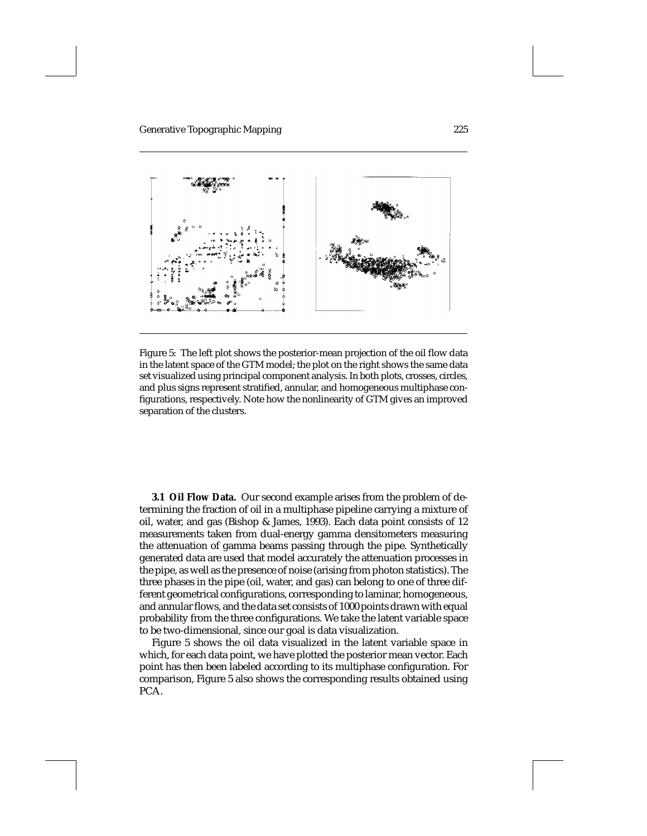

Figure 5: The left plot shows the posterior-mean projection of the oil flow data in the latent space of the GTM model; the plot on the right shows the same data set visualized using principal component analysis. In both plots, crosses, circles, and plus signs represent stratified, annular, and homogeneous multiphase configurations, respectively. Note how the nonlinearity of GTM gives an improved separation of the clusters.

**3.1 Oil Flow Data.** Our second example arises from the problem of determining the fraction of oil in a multiphase pipeline carrying a mixture of oil, water, and gas (Bishop & James, 1993). Each data point consists of 12 measurements taken from dual-energy gamma densitometers measuring the attenuation of gamma beams passing through the pipe. Synthetically generated data are used that model accurately the attenuation processes in the pipe, as well as the presence of noise (arising from photon statistics). The three phases in the pipe (oil, water, and gas) can belong to one of three different geometrical configurations, corresponding to laminar, homogeneous, and annular flows, and the data set consists of 1000 points drawn with equal probability from the three configurations. We take the latent variable space to be two-dimensional, since our goal is data visualization.

Figure 5 shows the oil data visualized in the latent variable space in which, for each data point, we have plotted the posterior mean vector. Each point has then been labeled according to its multiphase configuration. For comparison, Figure 5 also shows the corresponding results obtained using PCA.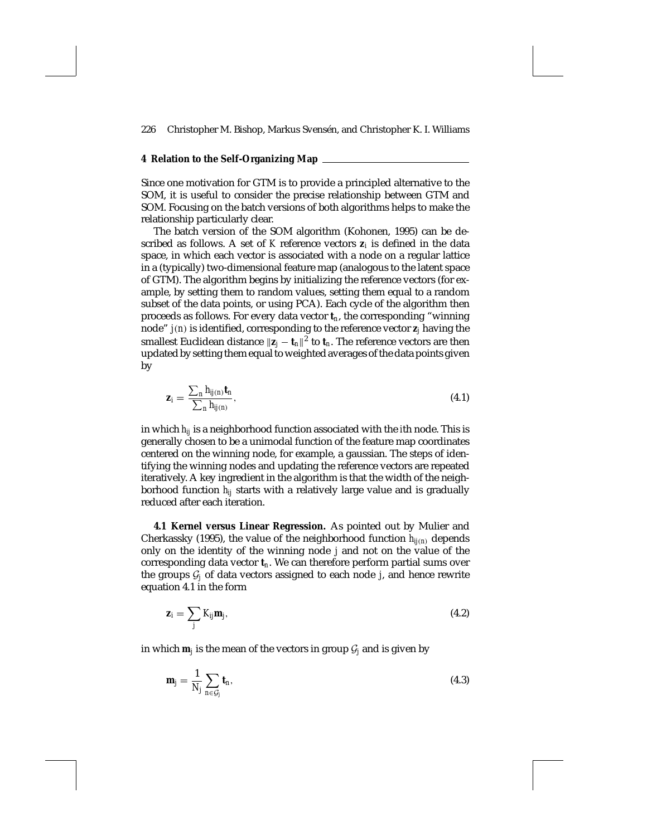## **4 Relation to the Self-Organizing Map**

Since one motivation for GTM is to provide a principled alternative to the SOM, it is useful to consider the precise relationship between GTM and SOM. Focusing on the batch versions of both algorithms helps to make the relationship particularly clear.

The batch version of the SOM algorithm (Kohonen, 1995) can be described as follows. A set of  $K$  reference vectors  $z_i$  is defined in the data space, in which each vector is associated with a node on a regular lattice in a (typically) two-dimensional feature map (analogous to the latent space of GTM). The algorithm begins by initializing the reference vectors (for example, by setting them to random values, setting them equal to a random subset of the data points, or using PCA). Each cycle of the algorithm then proceeds as follows. For every data vector **t***n*, the corresponding "winning node" *j(n)* is identified, corresponding to the reference vector **z***<sup>j</sup>* having the smallest Euclidean distance  $\|\mathbf{z}_i - \mathbf{t}_n\|^2$  to  $\mathbf{t}_n$ . The reference vectors are then updated by setting them equal to weighted averages of the data points given by

$$
\mathbf{z}_{i} = \frac{\sum_{n} h_{ij(n)} \mathbf{t}_{n}}{\sum_{n} h_{ij(n)}},\tag{4.1}
$$

in which *hij* is a neighborhood function associated with the *i*th node. This is generally chosen to be a unimodal function of the feature map coordinates centered on the winning node, for example, a gaussian. The steps of identifying the winning nodes and updating the reference vectors are repeated iteratively. A key ingredient in the algorithm is that the width of the neighborhood function *hij* starts with a relatively large value and is gradually reduced after each iteration.

**4.1 Kernel versus Linear Regression.** As pointed out by Mulier and Cherkassky (1995), the value of the neighborhood function  $h_{ij(n)}$  depends only on the identity of the winning node *j* and not on the value of the corresponding data vector **t***n*. We can therefore perform partial sums over the groups  $G_i$  of data vectors assigned to each node  $j$ , and hence rewrite equation 4.1 in the form

$$
z_i = \sum_j K_{ij} m_j, \tag{4.2}
$$

in which  $\mathbf{m}_i$  is the mean of the vectors in group  $\mathcal{G}_i$  and is given by

$$
\mathbf{m}_j = \frac{1}{N_j} \sum_{n \in \mathcal{G}_j} \mathbf{t}_n,\tag{4.3}
$$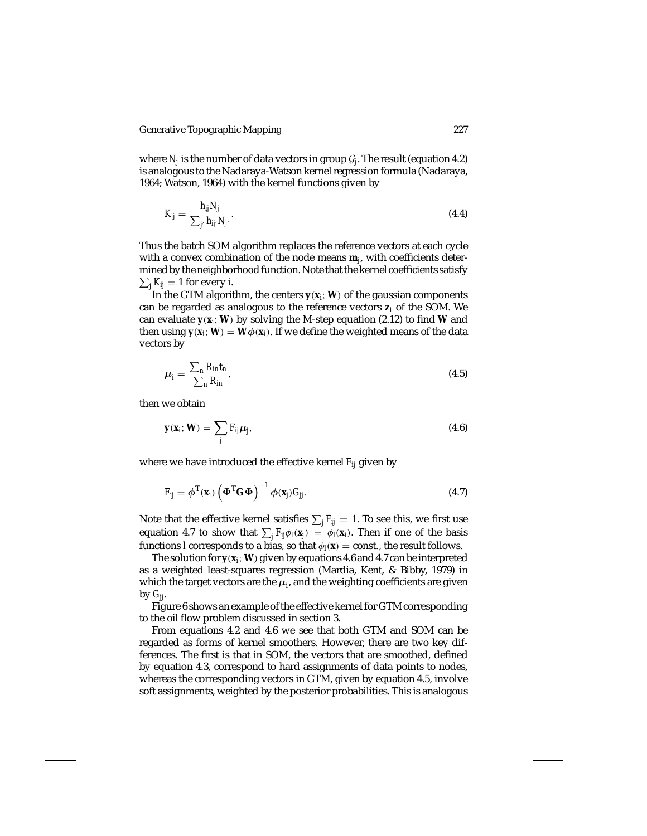where  $N_j$  is the number of data vectors in group  $G_j$ . The result (equation 4.2) is analogous to the Nadaraya-Watson kernel regression formula (Nadaraya, 1964; Watson, 1964) with the kernel functions given by

$$
K_{ij} = \frac{h_{ij} N_j}{\sum_j h_{ij} N_j}.
$$
\n(4.4)

Thus the batch SOM algorithm replaces the reference vectors at each cycle with a convex combination of the node means **m***j*, with coefficients determined by the neighborhood function. Note that the kernel coefficients satisfy  $\sum_j K_{ij} = 1$  for every *i*.

In the GTM algorithm, the centers **y***(***x***i*; **W***)* of the gaussian components can be regarded as analogous to the reference vectors **z***<sup>i</sup>* of the SOM. We can evaluate **y***(***x***i*; **W***)* by solving the M-step equation (2.12) to find **W** and then using  $y(x_i; W) = W\phi(x_i)$ . If we define the weighted means of the data vectors by

$$
\mu_i = \frac{\sum_n R_{in} \mathbf{t}_n}{\sum_n R_{in}},\tag{4.5}
$$

then we obtain

$$
\mathbf{y}(\mathbf{x}_i; \mathbf{W}) = \sum_j F_{ij} \mu_j, \tag{4.6}
$$

where we have introduced the effective kernel *Fij* given by

$$
F_{ij} = \phi^{\mathrm{T}}(\mathbf{x}_i) \left(\mathbf{\Phi}^{\mathrm{T}} \mathbf{G} \mathbf{\Phi}\right)^{-1} \phi(\mathbf{x}_j) G_{jj}.
$$
 (4.7)

Note that the effective kernel satisfies  $\sum_j F_{ij} = 1$ . To see this, we first use equation 4.7 to show that  $\sum_j F_{ij} \phi_l(\mathbf{x}_j) = \phi_l(\mathbf{x}_i)$ . Then if one of the basis functions *l* corresponds to a bias, so that  $\phi_l(\mathbf{x}) = \text{const.}$ , the result follows.

The solution for **y***(***x***i*; **W***)* given by equations 4.6 and 4.7 can be interpreted as a weighted least-squares regression (Mardia, Kent, & Bibby, 1979) in which the target vectors are the  $\mu_i$ , and the weighting coefficients are given by *Gjj*.

Figure 6 shows an example of the effective kernel for GTM corresponding to the oil flow problem discussed in section 3.

From equations 4.2 and 4.6 we see that both GTM and SOM can be regarded as forms of kernel smoothers. However, there are two key differences. The first is that in SOM, the vectors that are smoothed, defined by equation 4.3, correspond to hard assignments of data points to nodes, whereas the corresponding vectors in GTM, given by equation 4.5, involve soft assignments, weighted by the posterior probabilities. This is analogous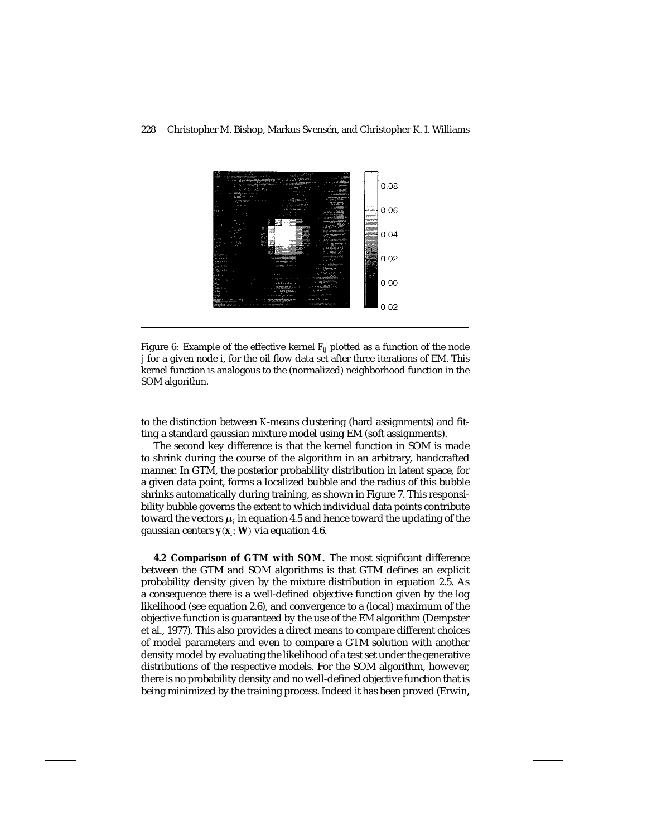

Figure 6: Example of the effective kernel  $F_{ij}$  plotted as a function of the node *j* for a given node *i*, for the oil flow data set after three iterations of EM. This kernel function is analogous to the (normalized) neighborhood function in the SOM algorithm.

to the distinction between *K*-means clustering (hard assignments) and fitting a standard gaussian mixture model using EM (soft assignments).

The second key difference is that the kernel function in SOM is made to shrink during the course of the algorithm in an arbitrary, handcrafted manner. In GTM, the posterior probability distribution in latent space, for a given data point, forms a localized bubble and the radius of this bubble shrinks automatically during training, as shown in Figure 7. This responsibility bubble governs the extent to which individual data points contribute toward the vectors  $\mu_i$  in equation 4.5 and hence toward the updating of the gaussian centers **y***(***x***i*; **W***)* via equation 4.6.

**4.2 Comparison of GTM with SOM.** The most significant difference between the GTM and SOM algorithms is that GTM defines an explicit probability density given by the mixture distribution in equation 2.5. As a consequence there is a well-defined objective function given by the log likelihood (see equation 2.6), and convergence to a (local) maximum of the objective function is guaranteed by the use of the EM algorithm (Dempster et al., 1977). This also provides a direct means to compare different choices of model parameters and even to compare a GTM solution with another density model by evaluating the likelihood of a test set under the generative distributions of the respective models. For the SOM algorithm, however, there is no probability density and no well-defined objective function that is being minimized by the training process. Indeed it has been proved (Erwin,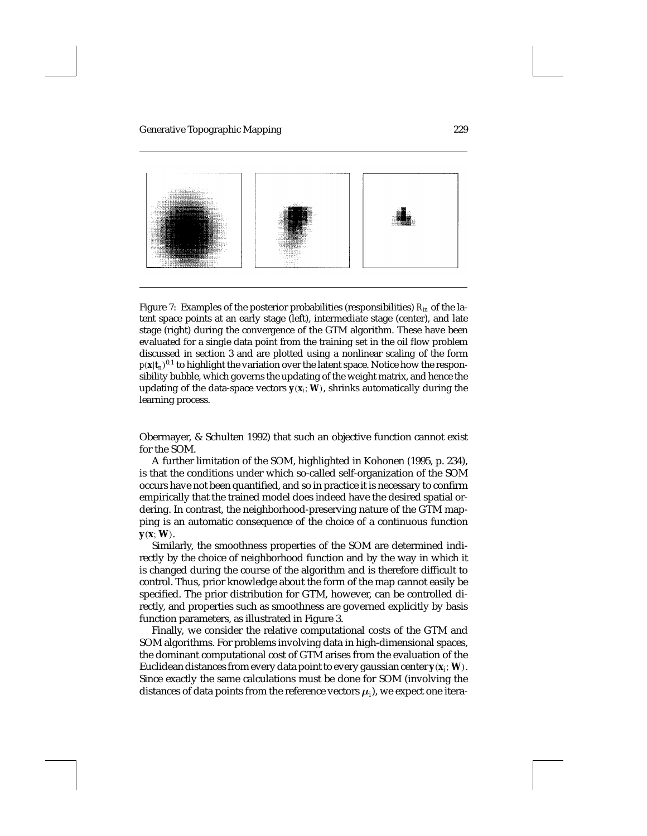

Figure 7: Examples of the posterior probabilities (responsibilities) *Rin* of the latent space points at an early stage (left), intermediate stage (center), and late stage (right) during the convergence of the GTM algorithm. These have been evaluated for a single data point from the training set in the oil flow problem discussed in section 3 and are plotted using a nonlinear scaling of the form  $p(\mathbf{x}|\mathbf{t}_n)^{0.1}$  to highlight the variation over the latent space. Notice how the responsibility bubble, which governs the updating of the weight matrix, and hence the updating of the data-space vectors **y***(***x***i*; **W***)*, shrinks automatically during the learning process.

Obermayer, & Schulten 1992) that such an objective function cannot exist for the SOM.

A further limitation of the SOM, highlighted in Kohonen (1995, p. 234), is that the conditions under which so-called self-organization of the SOM occurs have not been quantified, and so in practice it is necessary to confirm empirically that the trained model does indeed have the desired spatial ordering. In contrast, the neighborhood-preserving nature of the GTM mapping is an automatic consequence of the choice of a continuous function **y***(***x**; **W***)*.

Similarly, the smoothness properties of the SOM are determined indirectly by the choice of neighborhood function and by the way in which it is changed during the course of the algorithm and is therefore difficult to control. Thus, prior knowledge about the form of the map cannot easily be specified. The prior distribution for GTM, however, can be controlled directly, and properties such as smoothness are governed explicitly by basis function parameters, as illustrated in Figure 3.

Finally, we consider the relative computational costs of the GTM and SOM algorithms. For problems involving data in high-dimensional spaces, the dominant computational cost of GTM arises from the evaluation of the Euclidean distances from every data point to every gaussian center **y***(***x***i*; **W***)*. Since exactly the same calculations must be done for SOM (involving the distances of data points from the reference vectors  $\mu_i$ ), we expect one itera-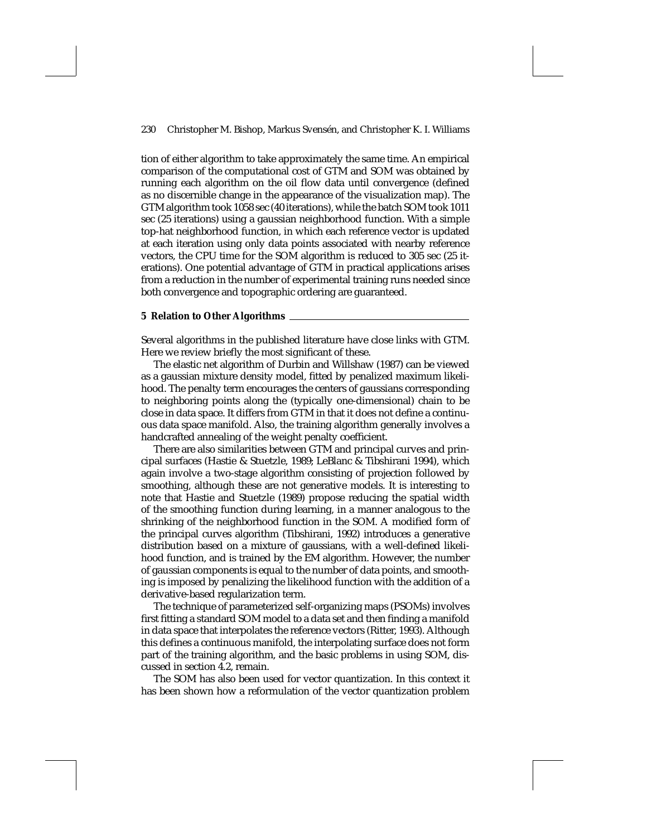tion of either algorithm to take approximately the same time. An empirical comparison of the computational cost of GTM and SOM was obtained by running each algorithm on the oil flow data until convergence (defined as no discernible change in the appearance of the visualization map). The GTM algorithm took 1058 sec (40 iterations), while the batch SOM took 1011 sec (25 iterations) using a gaussian neighborhood function. With a simple top-hat neighborhood function, in which each reference vector is updated at each iteration using only data points associated with nearby reference vectors, the CPU time for the SOM algorithm is reduced to 305 sec (25 iterations). One potential advantage of GTM in practical applications arises from a reduction in the number of experimental training runs needed since both convergence and topographic ordering are guaranteed.

## **5 Relation to Other Algorithms**

Several algorithms in the published literature have close links with GTM. Here we review briefly the most significant of these.

The elastic net algorithm of Durbin and Willshaw (1987) can be viewed as a gaussian mixture density model, fitted by penalized maximum likelihood. The penalty term encourages the centers of gaussians corresponding to neighboring points along the (typically one-dimensional) chain to be close in data space. It differs from GTM in that it does not define a continuous data space manifold. Also, the training algorithm generally involves a handcrafted annealing of the weight penalty coefficient.

There are also similarities between GTM and principal curves and principal surfaces (Hastie & Stuetzle, 1989; LeBlanc & Tibshirani 1994), which again involve a two-stage algorithm consisting of projection followed by smoothing, although these are not generative models. It is interesting to note that Hastie and Stuetzle (1989) propose reducing the spatial width of the smoothing function during learning, in a manner analogous to the shrinking of the neighborhood function in the SOM. A modified form of the principal curves algorithm (Tibshirani, 1992) introduces a generative distribution based on a mixture of gaussians, with a well-defined likelihood function, and is trained by the EM algorithm. However, the number of gaussian components is equal to the number of data points, and smoothing is imposed by penalizing the likelihood function with the addition of a derivative-based regularization term.

The technique of parameterized self-organizing maps (PSOMs) involves first fitting a standard SOM model to a data set and then finding a manifold in data space that interpolates the reference vectors (Ritter, 1993). Although this defines a continuous manifold, the interpolating surface does not form part of the training algorithm, and the basic problems in using SOM, discussed in section 4.2, remain.

The SOM has also been used for vector quantization. In this context it has been shown how a reformulation of the vector quantization problem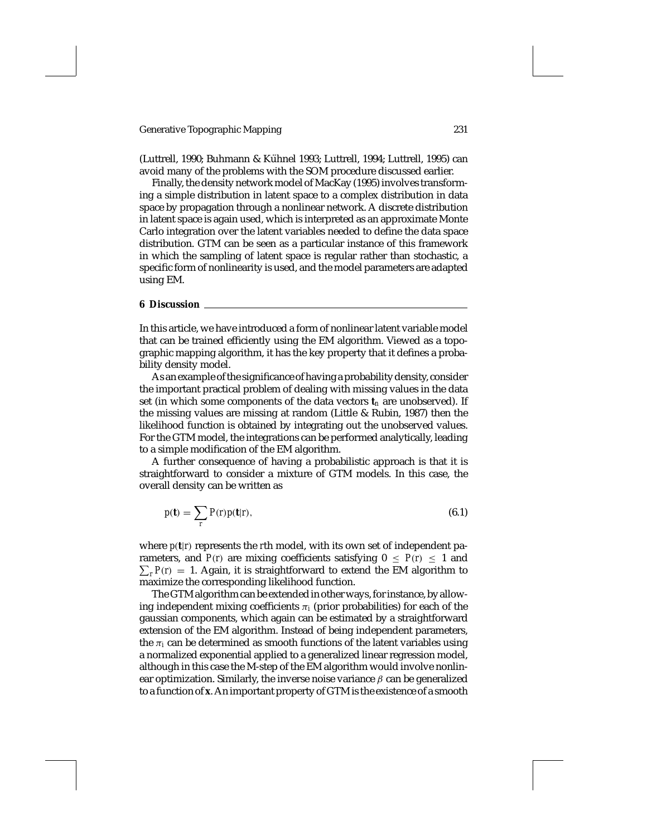(Luttrell, 1990; Buhmann & Kühnel 1993; Luttrell, 1994; Luttrell, 1995) can avoid many of the problems with the SOM procedure discussed earlier.

Finally, the density network model of MacKay (1995) involves transforming a simple distribution in latent space to a complex distribution in data space by propagation through a nonlinear network. A discrete distribution in latent space is again used, which is interpreted as an approximate Monte Carlo integration over the latent variables needed to define the data space distribution. GTM can be seen as a particular instance of this framework in which the sampling of latent space is regular rather than stochastic, a specific form of nonlinearity is used, and the model parameters are adapted using EM.

## **6 Discussion**

In this article, we have introduced a form of nonlinear latent variable model that can be trained efficiently using the EM algorithm. Viewed as a topographic mapping algorithm, it has the key property that it defines a probability density model.

As an example of the significance of having a probability density, consider the important practical problem of dealing with missing values in the data set (in which some components of the data vectors  $t_n$  are unobserved). If the missing values are missing at random (Little & Rubin, 1987) then the likelihood function is obtained by integrating out the unobserved values. For the GTM model, the integrations can be performed analytically, leading to a simple modification of the EM algorithm.

A further consequence of having a probabilistic approach is that it is straightforward to consider a mixture of GTM models. In this case, the overall density can be written as

$$
p(\mathbf{t}) = \sum_{r} P(r)p(\mathbf{t}|r),\tag{6.1}
$$

where *p(***t**|*r)* represents the *r*th model, with its own set of independent parameters, and  $P(r)$  are mixing coefficients satisfying  $0 \leq P(r) \leq 1$  and  $\sum_{r} P(r) = 1$ . Again, it is straightforward to extend the EM algorithm to maximize the corresponding likelihood function.

The GTM algorithm can be extended in other ways, for instance, by allowing independent mixing coefficients *π<sup>i</sup>* (prior probabilities) for each of the gaussian components, which again can be estimated by a straightforward extension of the EM algorithm. Instead of being independent parameters, the  $\pi_i$  can be determined as smooth functions of the latent variables using a normalized exponential applied to a generalized linear regression model, although in this case the M-step of the EM algorithm would involve nonlinear optimization. Similarly, the inverse noise variance *β* can be generalized to a function of **x**. An important property of GTM is the existence of a smooth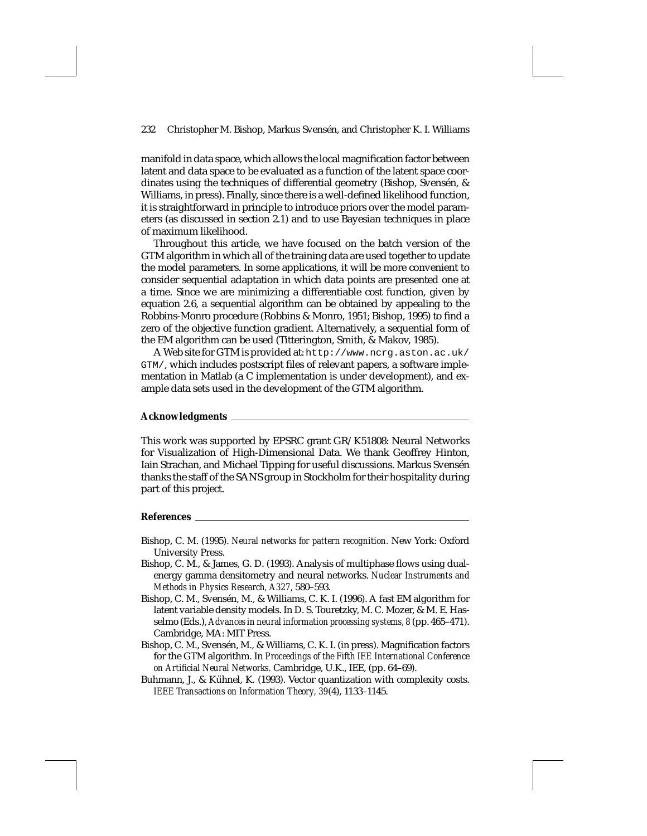manifold in data space, which allows the local magnification factor between latent and data space to be evaluated as a function of the latent space coordinates using the techniques of differential geometry (Bishop, Svensén, & Williams, in press). Finally, since there is a well-defined likelihood function, it is straightforward in principle to introduce priors over the model parameters (as discussed in section 2.1) and to use Bayesian techniques in place of maximum likelihood.

Throughout this article, we have focused on the batch version of the GTM algorithm in which all of the training data are used together to update the model parameters. In some applications, it will be more convenient to consider sequential adaptation in which data points are presented one at a time. Since we are minimizing a differentiable cost function, given by equation 2.6, a sequential algorithm can be obtained by appealing to the Robbins-Monro procedure (Robbins & Monro, 1951; Bishop, 1995) to find a zero of the objective function gradient. Alternatively, a sequential form of the EM algorithm can be used (Titterington, Smith, & Makov, 1985).

A Web site for GTM is provided at: http://www.ncrg.aston.ac.uk/ GTM/, which includes postscript files of relevant papers, a software implementation in Matlab (a C implementation is under development), and example data sets used in the development of the GTM algorithm.

## **Acknowledgments**

This work was supported by EPSRC grant GR/K51808: Neural Networks for Visualization of High-Dimensional Data. We thank Geoffrey Hinton, Iain Strachan, and Michael Tipping for useful discussions. Markus Svensén thanks the staff of the SANS group in Stockholm for their hospitality during part of this project.

#### **References**

- Bishop, C. M. (1995). *Neural networks for pattern recognition.* New York: Oxford University Press.
- Bishop, C. M., & James, G. D. (1993). Analysis of multiphase flows using dualenergy gamma densitometry and neural networks. *Nuclear Instruments and Methods in Physics Research, A327*, 580–593.
- Bishop, C. M., Svensén, M., & Williams, C. K. I. (1996). A fast EM algorithm for latent variable density models. In D. S. Touretzky, M. C. Mozer, & M. E. Hasselmo (Eds.), *Advances in neural information processing systems, 8* (pp. 465–471). Cambridge, MA: MIT Press.
- Bishop, C. M., Svensén, M., & Williams, C. K. I. (in press). Magnification factors for the GTM algorithm. In *Proceedings of the Fifth IEE International Conference on Artificial Neural Networks.* Cambridge, U.K., IEE, (pp. 64–69).
- Buhmann, J., & Kühnel, K. (1993). Vector quantization with complexity costs. *IEEE Transactions on Information Theory, 39*(4), 1133–1145.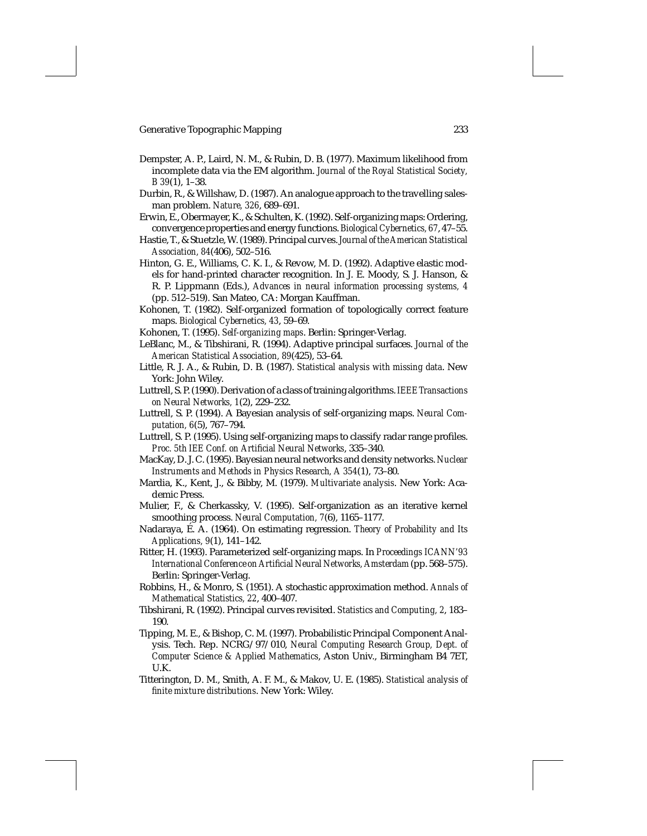- Dempster, A. P., Laird, N. M., & Rubin, D. B. (1977). Maximum likelihood from incomplete data via the EM algorithm. *Journal of the Royal Statistical Society, B 39*(1), 1–38.
- Durbin, R., & Willshaw, D. (1987). An analogue approach to the travelling salesman problem. *Nature, 326*, 689–691.
- Erwin, E., Obermayer, K., & Schulten, K. (1992). Self-organizing maps: Ordering, convergence properties and energy functions.*Biological Cybernetics, 67*, 47–55.
- Hastie, T., & Stuetzle, W. (1989). Principal curves.*Journal of the American Statistical Association, 84*(406), 502–516.
- Hinton, G. E., Williams, C. K. I., & Revow, M. D. (1992). Adaptive elastic models for hand-printed character recognition. In J. E. Moody, S. J. Hanson, & R. P. Lippmann (Eds.), *Advances in neural information processing systems, 4* (pp. 512–519). San Mateo, CA: Morgan Kauffman.
- Kohonen, T. (1982). Self-organized formation of topologically correct feature maps. *Biological Cybernetics, 43*, 59–69.
- Kohonen, T. (1995). *Self-organizing maps*. Berlin: Springer-Verlag.
- LeBlanc, M., & Tibshirani, R. (1994). Adaptive principal surfaces. *Journal of the American Statistical Association, 89*(425), 53–64.
- Little, R. J. A., & Rubin, D. B. (1987). *Statistical analysis with missing data*. New York: John Wiley.
- Luttrell, S. P. (1990). Derivation of a class of training algorithms.*IEEE Transactions on Neural Networks, 1*(2), 229–232.
- Luttrell, S. P. (1994). A Bayesian analysis of self-organizing maps. *Neural Computation, 6*(5), 767–794.
- Luttrell, S. P. (1995). Using self-organizing maps to classify radar range profiles. *Proc. 5th IEE Conf. on Artificial Neural Networks*, 335–340.
- MacKay, D. J. C. (1995). Bayesian neural networks and density networks. *Nuclear Instruments and Methods in Physics Research, A 354*(1), 73–80.
- Mardia, K., Kent, J., & Bibby, M. (1979). *Multivariate analysis*. New York: Academic Press.
- Mulier, F., & Cherkassky, V. (1995). Self-organization as an iterative kernel smoothing process. *Neural Computation, 7*(6), 1165–1177.
- Nadaraya, É. A. (1964). On estimating regression. Theory of Probability and Its *Applications, 9*(1), 141–142.
- Ritter, H. (1993). Parameterized self-organizing maps. In *Proceedings ICANN'93 International Conference on Artificial Neural Networks, Amsterdam* (pp. 568–575). Berlin: Springer-Verlag.
- Robbins, H., & Monro, S. (1951). A stochastic approximation method. *Annals of Mathematical Statistics, 22*, 400–407.
- Tibshirani, R. (1992). Principal curves revisited. *Statistics and Computing, 2*, 183– 190.
- Tipping, M. E., & Bishop, C. M. (1997). Probabilistic Principal Component Analysis. Tech. Rep. NCRG/97/010, *Neural Computing Research Group, Dept. of Computer Science & Applied Mathematics*, Aston Univ., Birmingham B4 7ET, U.K.
- Titterington, D. M., Smith, A. F. M., & Makov, U. E. (1985). *Statistical analysis of finite mixture distributions*. New York: Wiley.